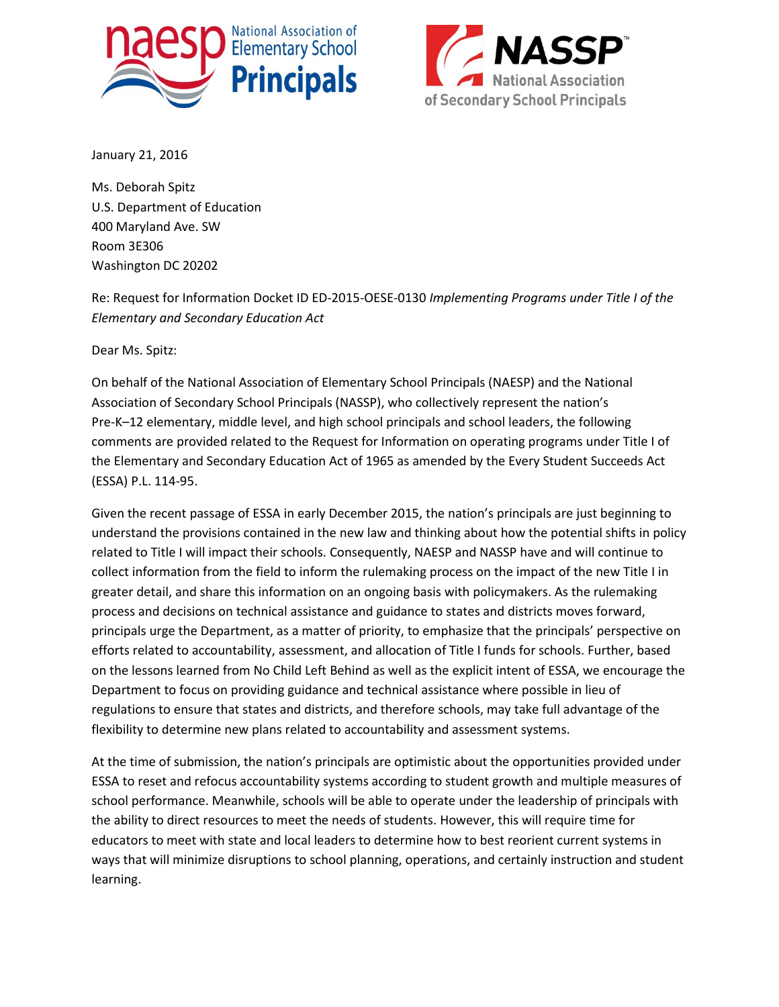



January 21, 2016

Ms. Deborah Spitz U.S. Department of Education 400 Maryland Ave. SW Room 3E306 Washington DC 20202

Re: Request for Information Docket ID ED-2015-OESE-0130 *Implementing Programs under Title I of the Elementary and Secondary Education Act*

Dear Ms. Spitz:

On behalf of the National Association of Elementary School Principals (NAESP) and the National Association of Secondary School Principals (NASSP), who collectively represent the nation's Pre-K–12 elementary, middle level, and high school principals and school leaders, the following comments are provided related to the Request for Information on operating programs under Title I of the Elementary and Secondary Education Act of 1965 as amended by the Every Student Succeeds Act (ESSA) P.L. 114-95.

Given the recent passage of ESSA in early December 2015, the nation's principals are just beginning to understand the provisions contained in the new law and thinking about how the potential shifts in policy related to Title I will impact their schools. Consequently, NAESP and NASSP have and will continue to collect information from the field to inform the rulemaking process on the impact of the new Title I in greater detail, and share this information on an ongoing basis with policymakers. As the rulemaking process and decisions on technical assistance and guidance to states and districts moves forward, principals urge the Department, as a matter of priority, to emphasize that the principals' perspective on efforts related to accountability, assessment, and allocation of Title I funds for schools. Further, based on the lessons learned from No Child Left Behind as well as the explicit intent of ESSA, we encourage the Department to focus on providing guidance and technical assistance where possible in lieu of regulations to ensure that states and districts, and therefore schools, may take full advantage of the flexibility to determine new plans related to accountability and assessment systems.

At the time of submission, the nation's principals are optimistic about the opportunities provided under ESSA to reset and refocus accountability systems according to student growth and multiple measures of school performance. Meanwhile, schools will be able to operate under the leadership of principals with the ability to direct resources to meet the needs of students. However, this will require time for educators to meet with state and local leaders to determine how to best reorient current systems in ways that will minimize disruptions to school planning, operations, and certainly instruction and student learning.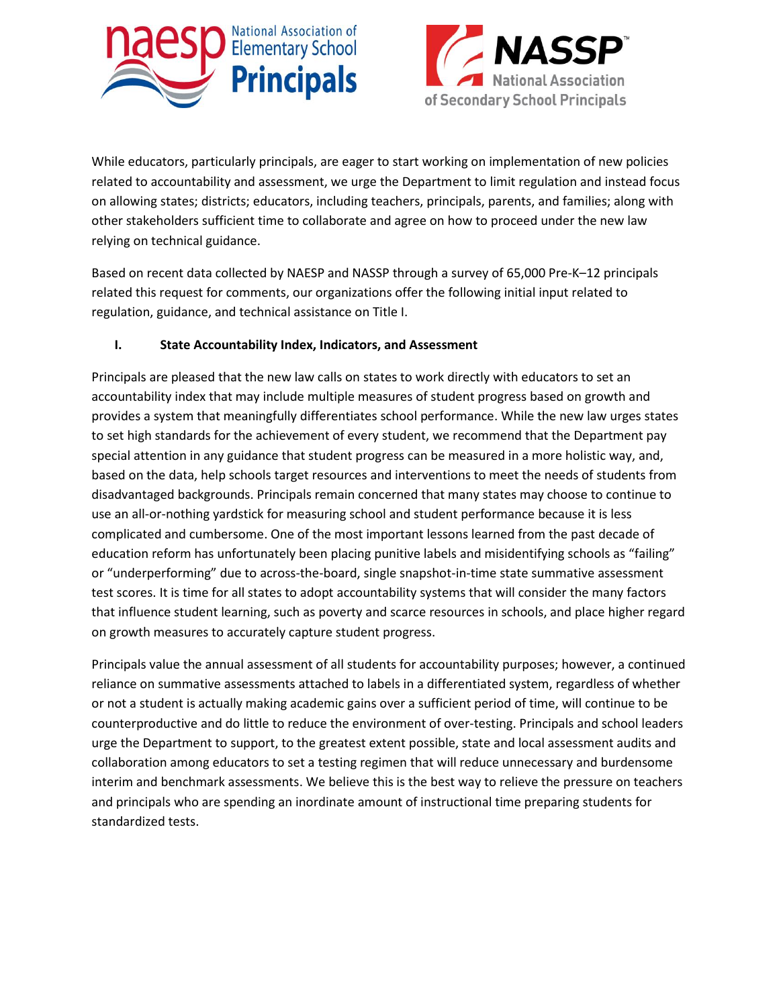



While educators, particularly principals, are eager to start working on implementation of new policies related to accountability and assessment, we urge the Department to limit regulation and instead focus on allowing states; districts; educators, including teachers, principals, parents, and families; along with other stakeholders sufficient time to collaborate and agree on how to proceed under the new law relying on technical guidance.

Based on recent data collected by NAESP and NASSP through a survey of 65,000 Pre-K–12 principals related this request for comments, our organizations offer the following initial input related to regulation, guidance, and technical assistance on Title I.

### **I. State Accountability Index, Indicators, and Assessment**

Principals are pleased that the new law calls on states to work directly with educators to set an accountability index that may include multiple measures of student progress based on growth and provides a system that meaningfully differentiates school performance. While the new law urges states to set high standards for the achievement of every student, we recommend that the Department pay special attention in any guidance that student progress can be measured in a more holistic way, and, based on the data, help schools target resources and interventions to meet the needs of students from disadvantaged backgrounds. Principals remain concerned that many states may choose to continue to use an all-or-nothing yardstick for measuring school and student performance because it is less complicated and cumbersome. One of the most important lessons learned from the past decade of education reform has unfortunately been placing punitive labels and misidentifying schools as "failing" or "underperforming" due to across-the-board, single snapshot-in-time state summative assessment test scores. It is time for all states to adopt accountability systems that will consider the many factors that influence student learning, such as poverty and scarce resources in schools, and place higher regard on growth measures to accurately capture student progress.

Principals value the annual assessment of all students for accountability purposes; however, a continued reliance on summative assessments attached to labels in a differentiated system, regardless of whether or not a student is actually making academic gains over a sufficient period of time, will continue to be counterproductive and do little to reduce the environment of over-testing. Principals and school leaders urge the Department to support, to the greatest extent possible, state and local assessment audits and collaboration among educators to set a testing regimen that will reduce unnecessary and burdensome interim and benchmark assessments. We believe this is the best way to relieve the pressure on teachers and principals who are spending an inordinate amount of instructional time preparing students for standardized tests.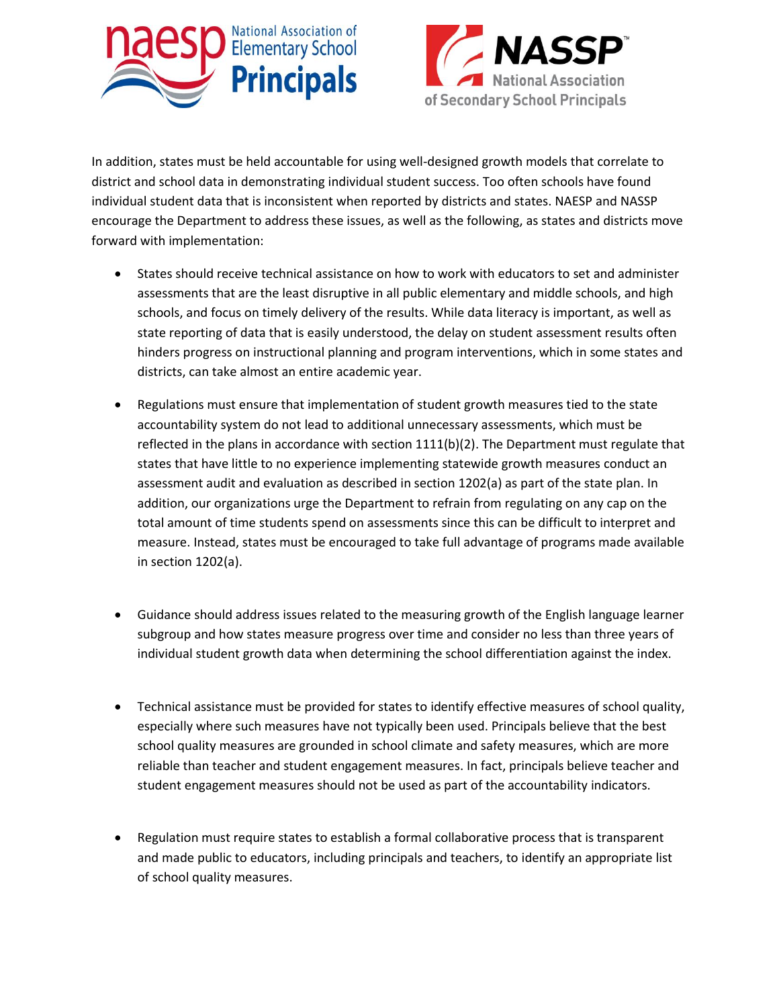



In addition, states must be held accountable for using well-designed growth models that correlate to district and school data in demonstrating individual student success. Too often schools have found individual student data that is inconsistent when reported by districts and states. NAESP and NASSP encourage the Department to address these issues, as well as the following, as states and districts move forward with implementation:

- States should receive technical assistance on how to work with educators to set and administer assessments that are the least disruptive in all public elementary and middle schools, and high schools, and focus on timely delivery of the results. While data literacy is important, as well as state reporting of data that is easily understood, the delay on student assessment results often hinders progress on instructional planning and program interventions, which in some states and districts, can take almost an entire academic year.
- Regulations must ensure that implementation of student growth measures tied to the state accountability system do not lead to additional unnecessary assessments, which must be reflected in the plans in accordance with section 1111(b)(2). The Department must regulate that states that have little to no experience implementing statewide growth measures conduct an assessment audit and evaluation as described in section 1202(a) as part of the state plan. In addition, our organizations urge the Department to refrain from regulating on any cap on the total amount of time students spend on assessments since this can be difficult to interpret and measure. Instead, states must be encouraged to take full advantage of programs made available in section 1202(a).
- Guidance should address issues related to the measuring growth of the English language learner subgroup and how states measure progress over time and consider no less than three years of individual student growth data when determining the school differentiation against the index.
- Technical assistance must be provided for states to identify effective measures of school quality, especially where such measures have not typically been used. Principals believe that the best school quality measures are grounded in school climate and safety measures, which are more reliable than teacher and student engagement measures. In fact, principals believe teacher and student engagement measures should not be used as part of the accountability indicators.
- Regulation must require states to establish a formal collaborative process that is transparent and made public to educators, including principals and teachers, to identify an appropriate list of school quality measures.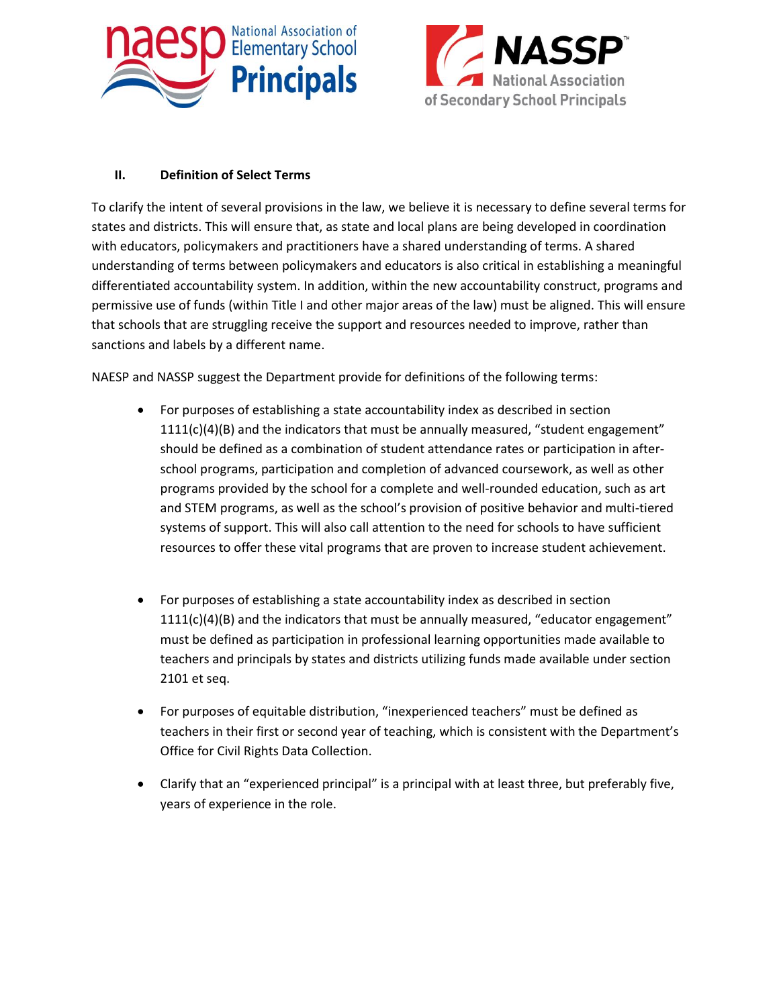



## **II. Definition of Select Terms**

To clarify the intent of several provisions in the law, we believe it is necessary to define several terms for states and districts. This will ensure that, as state and local plans are being developed in coordination with educators, policymakers and practitioners have a shared understanding of terms. A shared understanding of terms between policymakers and educators is also critical in establishing a meaningful differentiated accountability system. In addition, within the new accountability construct, programs and permissive use of funds (within Title I and other major areas of the law) must be aligned. This will ensure that schools that are struggling receive the support and resources needed to improve, rather than sanctions and labels by a different name.

NAESP and NASSP suggest the Department provide for definitions of the following terms:

- For purposes of establishing a state accountability index as described in section  $1111(c)(4)(B)$  and the indicators that must be annually measured, "student engagement" should be defined as a combination of student attendance rates or participation in afterschool programs, participation and completion of advanced coursework, as well as other programs provided by the school for a complete and well-rounded education, such as art and STEM programs, as well as the school's provision of positive behavior and multi-tiered systems of support. This will also call attention to the need for schools to have sufficient resources to offer these vital programs that are proven to increase student achievement.
- For purposes of establishing a state accountability index as described in section  $1111(c)(4)(B)$  and the indicators that must be annually measured, "educator engagement" must be defined as participation in professional learning opportunities made available to teachers and principals by states and districts utilizing funds made available under section 2101 et seq.
- For purposes of equitable distribution, "inexperienced teachers" must be defined as teachers in their first or second year of teaching, which is consistent with the Department's Office for Civil Rights Data Collection.
- Clarify that an "experienced principal" is a principal with at least three, but preferably five, years of experience in the role.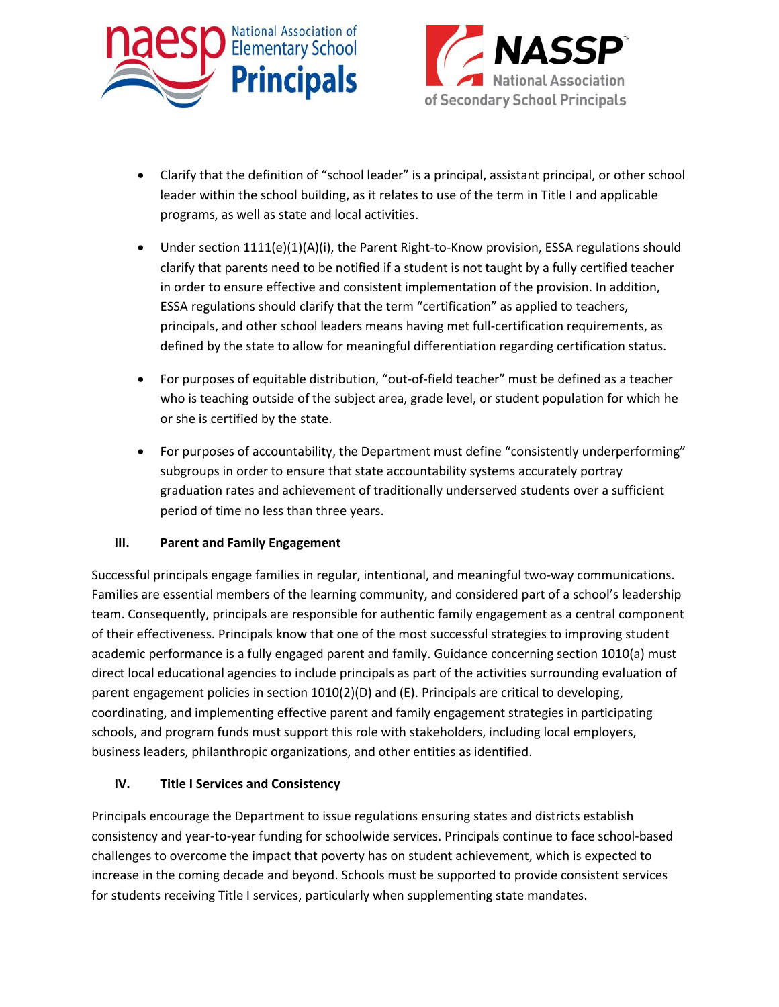



- Clarify that the definition of "school leader" is a principal, assistant principal, or other school leader within the school building, as it relates to use of the term in Title I and applicable programs, as well as state and local activities.
- Under section 1111(e)(1)(A)(i), the Parent Right-to-Know provision, ESSA regulations should clarify that parents need to be notified if a student is not taught by a fully certified teacher in order to ensure effective and consistent implementation of the provision. In addition, ESSA regulations should clarify that the term "certification" as applied to teachers, principals, and other school leaders means having met full-certification requirements, as defined by the state to allow for meaningful differentiation regarding certification status.
- For purposes of equitable distribution, "out-of-field teacher" must be defined as a teacher who is teaching outside of the subject area, grade level, or student population for which he or she is certified by the state.
- For purposes of accountability, the Department must define "consistently underperforming" subgroups in order to ensure that state accountability systems accurately portray graduation rates and achievement of traditionally underserved students over a sufficient period of time no less than three years.

### **III. Parent and Family Engagement**

Successful principals engage families in regular, intentional, and meaningful two-way communications. Families are essential members of the learning community, and considered part of a school's leadership team. Consequently, principals are responsible for authentic family engagement as a central component of their effectiveness. Principals know that one of the most successful strategies to improving student academic performance is a fully engaged parent and family. Guidance concerning section 1010(a) must direct local educational agencies to include principals as part of the activities surrounding evaluation of parent engagement policies in section 1010(2)(D) and (E). Principals are critical to developing, coordinating, and implementing effective parent and family engagement strategies in participating schools, and program funds must support this role with stakeholders, including local employers, business leaders, philanthropic organizations, and other entities as identified.

### **IV. Title I Services and Consistency**

Principals encourage the Department to issue regulations ensuring states and districts establish consistency and year-to-year funding for schoolwide services. Principals continue to face school-based challenges to overcome the impact that poverty has on student achievement, which is expected to increase in the coming decade and beyond. Schools must be supported to provide consistent services for students receiving Title I services, particularly when supplementing state mandates.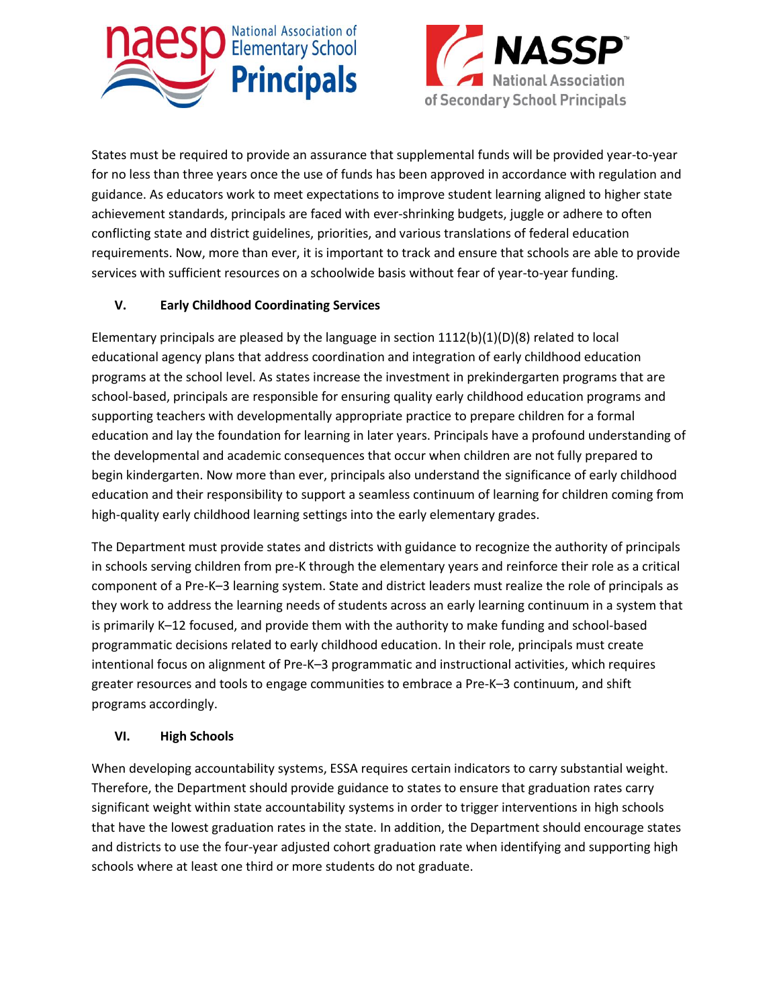



States must be required to provide an assurance that supplemental funds will be provided year-to-year for no less than three years once the use of funds has been approved in accordance with regulation and guidance. As educators work to meet expectations to improve student learning aligned to higher state achievement standards, principals are faced with ever-shrinking budgets, juggle or adhere to often conflicting state and district guidelines, priorities, and various translations of federal education requirements. Now, more than ever, it is important to track and ensure that schools are able to provide services with sufficient resources on a schoolwide basis without fear of year-to-year funding.

# **V. Early Childhood Coordinating Services**

Elementary principals are pleased by the language in section  $1112(b)(1)(D)(8)$  related to local educational agency plans that address coordination and integration of early childhood education programs at the school level. As states increase the investment in prekindergarten programs that are school-based, principals are responsible for ensuring quality early childhood education programs and supporting teachers with developmentally appropriate practice to prepare children for a formal education and lay the foundation for learning in later years. Principals have a profound understanding of the developmental and academic consequences that occur when children are not fully prepared to begin kindergarten. Now more than ever, principals also understand the significance of early childhood education and their responsibility to support a seamless continuum of learning for children coming from high-quality early childhood learning settings into the early elementary grades.

The Department must provide states and districts with guidance to recognize the authority of principals in schools serving children from pre-K through the elementary years and reinforce their role as a critical component of a Pre-K–3 learning system. State and district leaders must realize the role of principals as they work to address the learning needs of students across an early learning continuum in a system that is primarily K–12 focused, and provide them with the authority to make funding and school-based programmatic decisions related to early childhood education. In their role, principals must create intentional focus on alignment of Pre-K–3 programmatic and instructional activities, which requires greater resources and tools to engage communities to embrace a Pre-K–3 continuum, and shift programs accordingly.

### **VI. High Schools**

When developing accountability systems, ESSA requires certain indicators to carry substantial weight. Therefore, the Department should provide guidance to states to ensure that graduation rates carry significant weight within state accountability systems in order to trigger interventions in high schools that have the lowest graduation rates in the state. In addition, the Department should encourage states and districts to use the four-year adjusted cohort graduation rate when identifying and supporting high schools where at least one third or more students do not graduate.